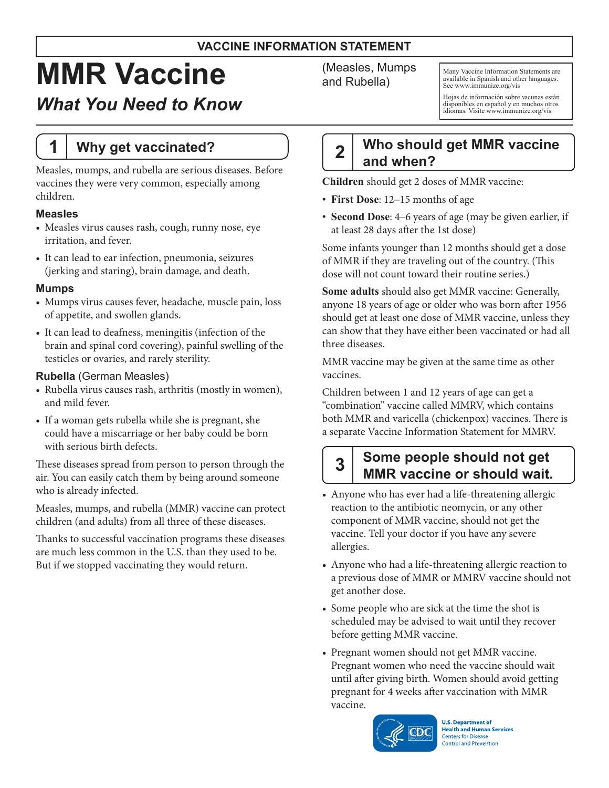### **VACCINE INFORMATION STATEMENT**

# **MMR Vaccine**

# *What You Need to Know*

# **1 Why get vaccinated?**

Measles, mumps, and rubella are serious diseases. Before vaccines they were very common, especially among children.

#### **Measles**

- Measles virus causes rash, cough, runny nose, eye irritation, and fever.
- It can lead to ear infection, pneumonia, seizures (jerking and staring), brain damage, and death.

#### **Mumps**

- Mumps virus causes fever, headache, muscle pain, loss of appetite, and swollen glands.
- It can lead to deafness, meningitis (infection of the brain and spinal cord covering), painful swelling of the testicles or ovaries, and rarely sterility.

#### **Rubella** (German Measles)

- • Rubella virus causes rash, arthritis (mostly in women), and mild fever.
- • If a woman gets rubella while she is pregnant, she could have a miscarriage or her baby could be born with serious birth defects.

These diseases spread from person to person through the air. You can easily catch them by being around someone who is already infected.

Measles, mumps, and rubella (MMR) vaccine can protect children (and adults) from all three of these diseases.

Thanks to successful vaccination programs these diseases are much less common in the U.S. than they used to be. But if we stopped vaccinating they would return.

(Measles, Mumps and Rubella)

Many Vaccine Information Statements are available in Spanish and other languages. See [www.immunize.org/vis](http://www.immunize.org/vis)

Hojas de información sobre vacunas están disponibles en español y en muchos otros idiomas. Visite [www.immunize.org/vis](http://www.immunize.org/vis)

# **2 Who should get MMR vaccine and when?**

**Children** should get 2 doses of MMR vaccine:

- **First Dose**: 12–15 months of age
- **Second Dose**: 4–6 years of age (may be given earlier, if at least 28 days after the 1st dose)

Some infants younger than 12 months should get a dose of MMR if they are traveling out of the country. (This dose will not count toward their routine series.)

**Some adults** should also get MMR vaccine: Generally, anyone 18 years of age or older who was born after 1956 should get at least one dose of MMR vaccine, unless they can show that they have either been vaccinated or had all three diseases.

MMR vaccine may be given at the same time as other vaccines.

Children between 1 and 12 years of age can get a "combination" vaccine called MMRV, which contains both MMR and varicella (chickenpox) vaccines. There is a separate Vaccine Information Statement for MMRV.

# **3 Some people should not get MMR vaccine or should wait.**

- Anyone who has ever had a life-threatening allergic reaction to the antibiotic neomycin, or any other component of MMR vaccine, should not get the vaccine. Tell your doctor if you have any severe allergies.
- Anyone who had a life-threatening allergic reaction to a previous dose of MMR or MMRV vaccine should not get another dose.
- Some people who are sick at the time the shot is scheduled may be advised to wait until they recover before getting MMR vaccine.
- Pregnant women should not get MMR vaccine. Pregnant women who need the vaccine should wait until after giving birth. Women should avoid getting pregnant for 4 weeks after vaccination with MMR vaccine.